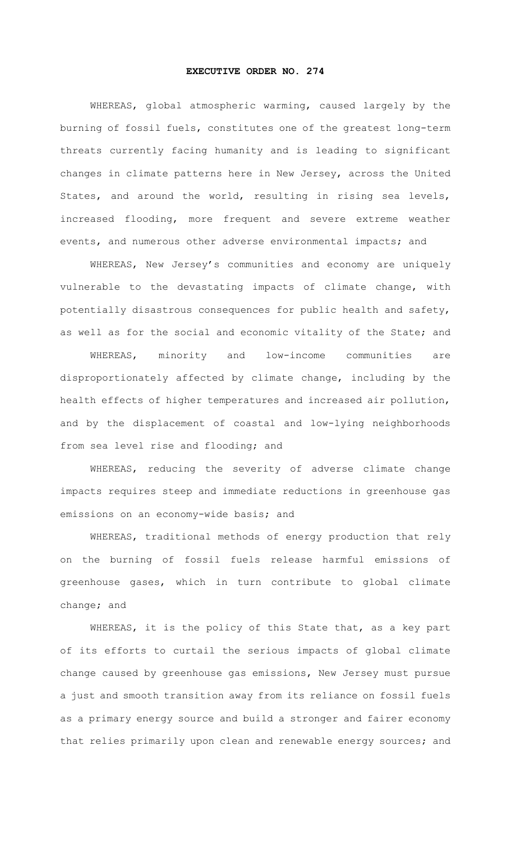## **EXECUTIVE ORDER NO. 274**

WHEREAS, global atmospheric warming, caused largely by the burning of fossil fuels, constitutes one of the greatest long-term threats currently facing humanity and is leading to significant changes in climate patterns here in New Jersey, across the United States, and around the world, resulting in rising sea levels, increased flooding, more frequent and severe extreme weather events, and numerous other adverse environmental impacts; and

WHEREAS, New Jersey's communities and economy are uniquely vulnerable to the devastating impacts of climate change, with potentially disastrous consequences for public health and safety, as well as for the social and economic vitality of the State; and

WHEREAS, minority and low-income communities are disproportionately affected by climate change, including by the health effects of higher temperatures and increased air pollution, and by the displacement of coastal and low-lying neighborhoods from sea level rise and flooding; and

WHEREAS, reducing the severity of adverse climate change impacts requires steep and immediate reductions in greenhouse gas emissions on an economy-wide basis; and

WHEREAS, traditional methods of energy production that rely on the burning of fossil fuels release harmful emissions of greenhouse gases, which in turn contribute to global climate change; and

WHEREAS, it is the policy of this State that, as a key part of its efforts to curtail the serious impacts of global climate change caused by greenhouse gas emissions, New Jersey must pursue a just and smooth transition away from its reliance on fossil fuels as a primary energy source and build a stronger and fairer economy that relies primarily upon clean and renewable energy sources; and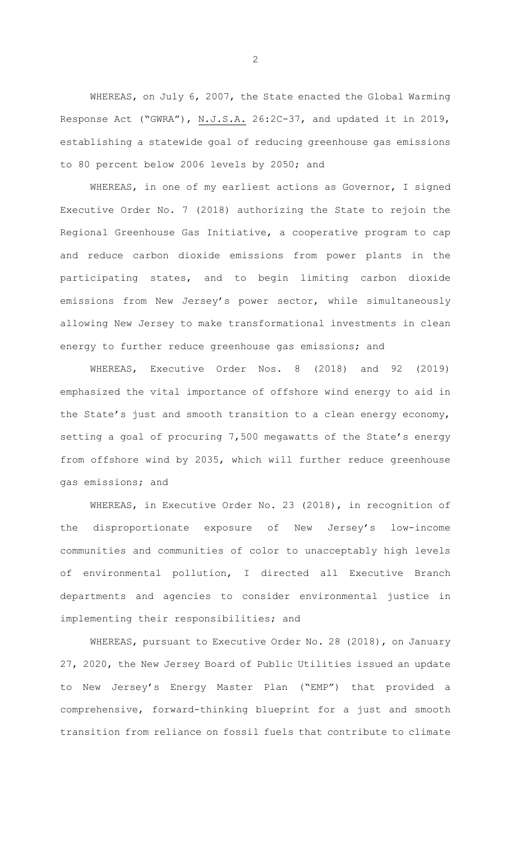WHEREAS, on July 6, 2007, the State enacted the Global Warming Response Act ("GWRA"), N.J.S.A. 26:2C-37, and updated it in 2019, establishing a statewide goal of reducing greenhouse gas emissions to 80 percent below 2006 levels by 2050; and

WHEREAS, in one of my earliest actions as Governor, I signed Executive Order No. 7 (2018) authorizing the State to rejoin the Regional Greenhouse Gas Initiative, a cooperative program to cap and reduce carbon dioxide emissions from power plants in the participating states, and to begin limiting carbon dioxide emissions from New Jersey's power sector, while simultaneously allowing New Jersey to make transformational investments in clean energy to further reduce greenhouse gas emissions; and

WHEREAS, Executive Order Nos. 8 (2018) and 92 (2019) emphasized the vital importance of offshore wind energy to aid in the State's just and smooth transition to a clean energy economy, setting a goal of procuring 7,500 megawatts of the State's energy from offshore wind by 2035, which will further reduce greenhouse gas emissions; and

WHEREAS, in Executive Order No. 23 (2018), in recognition of the disproportionate exposure of New Jersey's low-income communities and communities of color to unacceptably high levels of environmental pollution, I directed all Executive Branch departments and agencies to consider environmental justice in implementing their responsibilities; and

WHEREAS, pursuant to Executive Order No. 28 (2018), on January 27, 2020, the New Jersey Board of Public Utilities issued an update to New Jersey's Energy Master Plan ("EMP") that provided a comprehensive, forward-thinking blueprint for a just and smooth transition from reliance on fossil fuels that contribute to climate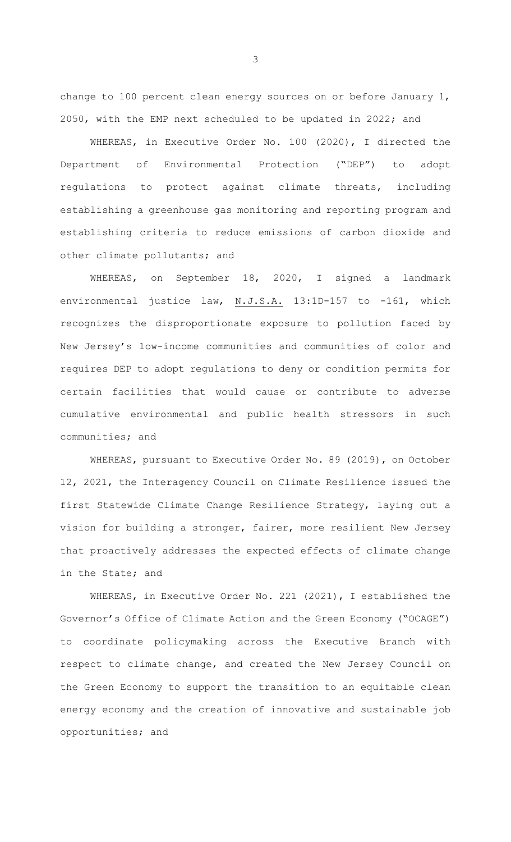change to 100 percent clean energy sources on or before January 1, 2050, with the EMP next scheduled to be updated in 2022; and

WHEREAS, in Executive Order No. 100 (2020), I directed the Department of Environmental Protection ("DEP") to adopt regulations to protect against climate threats, including establishing a greenhouse gas monitoring and reporting program and establishing criteria to reduce emissions of carbon dioxide and other climate pollutants; and

WHEREAS, on September 18, 2020, I signed a landmark environmental justice law, N.J.S.A. 13:1D-157 to -161, which recognizes the disproportionate exposure to pollution faced by New Jersey's low-income communities and communities of color and requires DEP to adopt regulations to deny or condition permits for certain facilities that would cause or contribute to adverse cumulative environmental and public health stressors in such communities; and

WHEREAS, pursuant to Executive Order No. 89 (2019), on October 12, 2021, the Interagency Council on Climate Resilience issued the first Statewide Climate Change Resilience Strategy, laying out a vision for building a stronger, fairer, more resilient New Jersey that proactively addresses the expected effects of climate change in the State; and

WHEREAS, in Executive Order No. 221 (2021), I established the Governor's Office of Climate Action and the Green Economy ("OCAGE") to coordinate policymaking across the Executive Branch with respect to climate change, and created the New Jersey Council on the Green Economy to support the transition to an equitable clean energy economy and the creation of innovative and sustainable job opportunities; and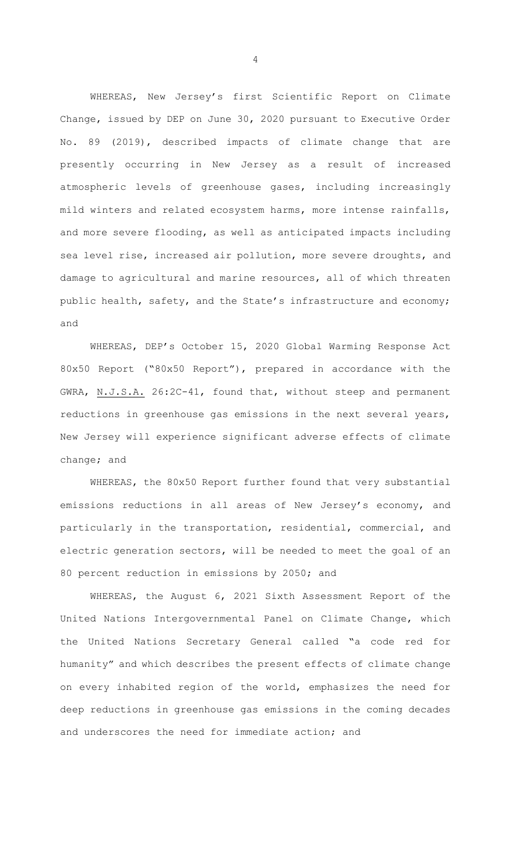WHEREAS, New Jersey's first Scientific Report on Climate Change, issued by DEP on June 30, 2020 pursuant to Executive Order No. 89 (2019), described impacts of climate change that are presently occurring in New Jersey as a result of increased atmospheric levels of greenhouse gases, including increasingly mild winters and related ecosystem harms, more intense rainfalls, and more severe flooding, as well as anticipated impacts including sea level rise, increased air pollution, more severe droughts, and damage to agricultural and marine resources, all of which threaten public health, safety, and the State's infrastructure and economy; and

WHEREAS, DEP's October 15, 2020 Global Warming Response Act 80x50 Report ("80x50 Report"), prepared in accordance with the GWRA, N.J.S.A. 26:2C-41, found that, without steep and permanent reductions in greenhouse gas emissions in the next several years, New Jersey will experience significant adverse effects of climate change; and

WHEREAS, the 80x50 Report further found that very substantial emissions reductions in all areas of New Jersey's economy, and particularly in the transportation, residential, commercial, and electric generation sectors, will be needed to meet the goal of an 80 percent reduction in emissions by 2050; and

WHEREAS, the August 6, 2021 Sixth Assessment Report of the United Nations Intergovernmental Panel on Climate Change, which the United Nations Secretary General called "a code red for humanity" and which describes the present effects of climate change on every inhabited region of the world, emphasizes the need for deep reductions in greenhouse gas emissions in the coming decades and underscores the need for immediate action; and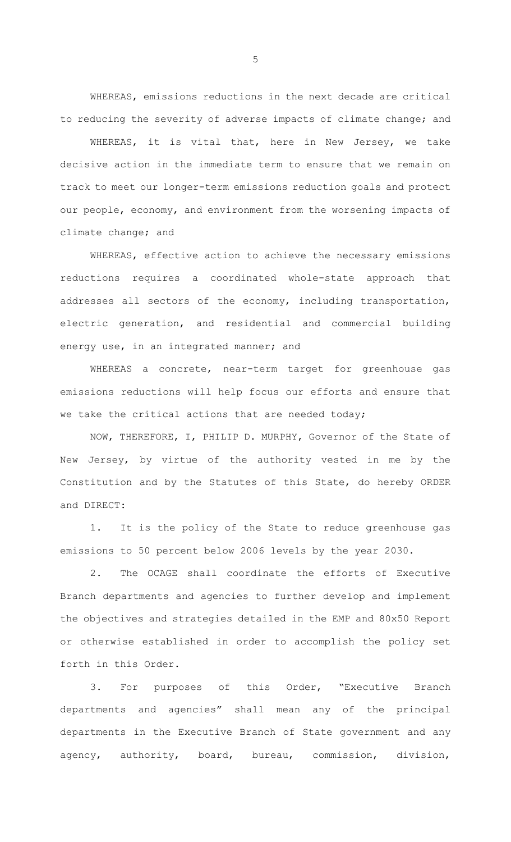WHEREAS, emissions reductions in the next decade are critical to reducing the severity of adverse impacts of climate change; and

WHEREAS, it is vital that, here in New Jersey, we take decisive action in the immediate term to ensure that we remain on track to meet our longer-term emissions reduction goals and protect our people, economy, and environment from the worsening impacts of climate change; and

WHEREAS, effective action to achieve the necessary emissions reductions requires a coordinated whole-state approach that addresses all sectors of the economy, including transportation, electric generation, and residential and commercial building energy use, in an integrated manner; and

WHEREAS a concrete, near-term target for greenhouse gas emissions reductions will help focus our efforts and ensure that we take the critical actions that are needed today;

NOW, THEREFORE, I, PHILIP D. MURPHY, Governor of the State of New Jersey, by virtue of the authority vested in me by the Constitution and by the Statutes of this State, do hereby ORDER and DIRECT:

1. It is the policy of the State to reduce greenhouse gas emissions to 50 percent below 2006 levels by the year 2030.

2. The OCAGE shall coordinate the efforts of Executive Branch departments and agencies to further develop and implement the objectives and strategies detailed in the EMP and 80x50 Report or otherwise established in order to accomplish the policy set forth in this Order.

3. For purposes of this Order, "Executive Branch departments and agencies" shall mean any of the principal departments in the Executive Branch of State government and any agency, authority, board, bureau, commission, division,